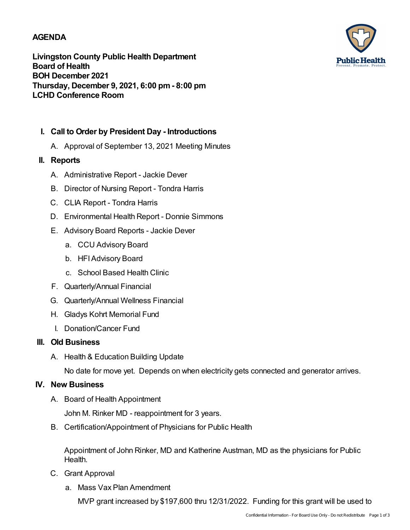### **AGENDA**

**Livingston County Public Health Department Board of Health BOH December 2021 Thursday, December 9, 2021, 6:00 pm- 8:00 pm LCHD Conference Room**



A. Approval of September 13, 2021 Meeting Minutes

#### **II. Reports**

- A. Administrative Report Jackie Dever
- B. Director of Nursing Report Tondra Harris
- C. CLIA Report Tondra Harris
- D. Environmental Health Report Donnie Simmons
- E. Advisory Board Reports Jackie Dever
	- a. CCU Advisory Board
	- b. HFIAdvisory Board
	- c. School Based Health Clinic
- F. Quarterly/Annual Financial
- G. Quarterly/Annual Wellness Financial
- H. Gladys Kohrt Memorial Fund
- I. Donation/Cancer Fund

#### **III. Old Business**

A. Health & Education Building Update

No date for move yet. Depends on when electricity gets connected and generator arrives.

#### **IV. New Business**

A. Board of Health Appointment

John M. Rinker MD - reappointment for 3 years.

B. Certification/Appointment of Physicians for Public Health

Appointment of John Rinker, MD and Katherine Austman, MD as the physicians for Public Health.

- C. Grant Approval
	- a. Mass Vax Plan Amendment

MVP grant increased by \$197,600 thru 12/31/2022. Funding for this grant will be used to

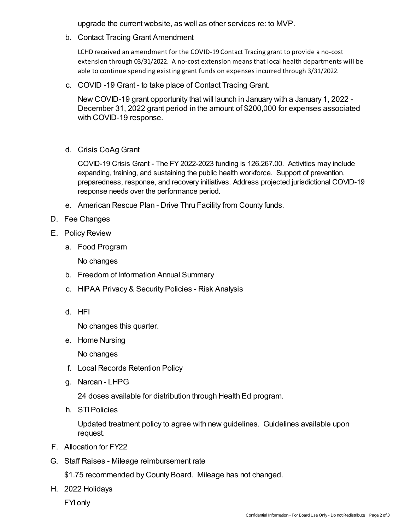upgrade the current website, as well as other services re: to MVP.

b. Contact Tracing Grant Amendment

LCHD received an amendment for the COVID-19 Contact Tracing grant to provide a no-cost extension through 03/31/2022. A no-cost extension means that local health departments will be able to continue spending existinggrant funds on expenses incurred through 3/31/2022.

c. COVID -19 Grant - to take place of Contact Tracing Grant.

New COVID-19 grant opportunity that will launch in January with a January 1, 2022 - December 31, 2022 grant period in the amount of \$200,000 for expenses associated with COVID-19 response.

d. Crisis CoAg Grant

COVID-19 Crisis Grant - The FY 2022-2023 funding is 126,267.00. Activities may include expanding, training, and sustaining the public health workforce. Support of prevention, preparedness, response, and recovery initiatives. Address projected jurisdictional COVID-19 response needs over the performance period.

- e. American Rescue Plan Drive Thru Facility from County funds.
- D. Fee Changes
- E. Policy Review
	- a. Food Program

No changes

- b. Freedom of Information Annual Summary
- c. HIPAA Privacy & Security Policies Risk Analysis
- d. HFI

No changes this quarter.

e. Home Nursing

No changes

- f. Local Records Retention Policy
- g. Narcan LHPG

24 doses available for distribution through Health Ed program.

h. STIPolicies

Updated treatment policy to agree with new guidelines. Guidelines available upon request.

- F. Allocation for FY22
- G. Staff Raises Mileage reimbursement rate

\$1.75 recommended by County Board. Mileage has not changed.

H. 2022 Holidays

FYI only